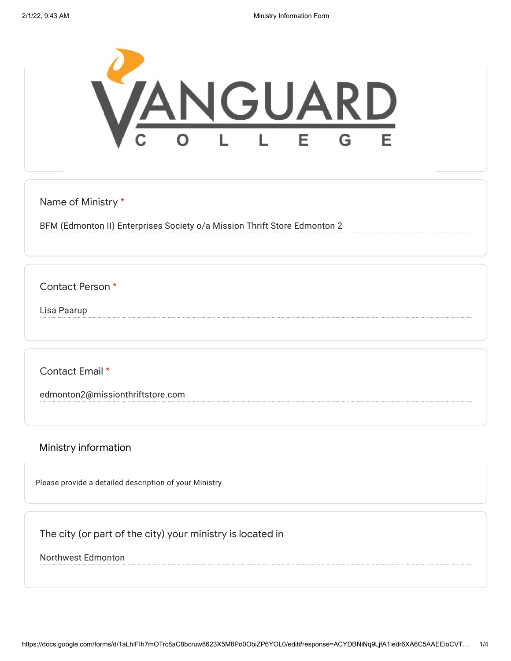

Name of Ministry \*

BFM (Edmonton II) Enterprises Society o/a Mission Thrift Store Edmonton 2

Contact Person \*

Lisa Paarup

Contact Email \*

edmonton2@missionthriftstore.com

Ministry information

Please provide a detailed description of your Ministry

The city (or part of the city) your ministry is located in

Northwest Edmonton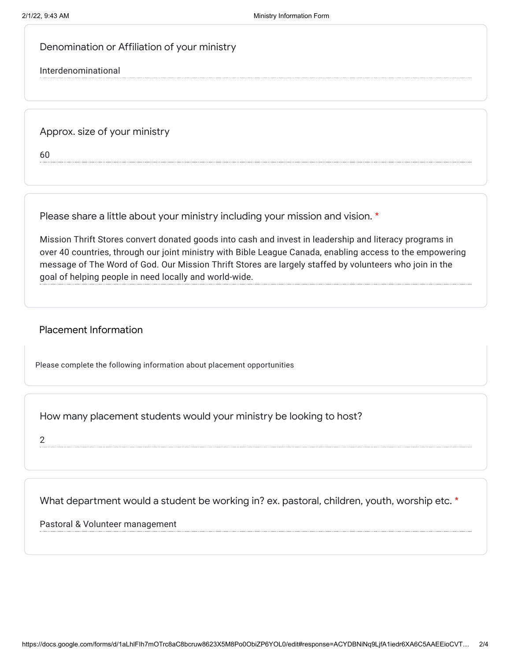Denomination or Affiliation of your ministry

Interdenominational

Approx. size of your ministry

60

Please share a little about your ministry including your mission and vision. \*

Mission Thrift Stores convert donated goods into cash and invest in leadership and literacy programs in over 40 countries, through our joint ministry with Bible League Canada, enabling access to the empowering message of The Word of God. Our Mission Thrift Stores are largely staffed by volunteers who join in the goal of helping people in need locally and world-wide.

## Placement Information

Please complete the following information about placement opportunities

How many placement students would your ministry be looking to host?

2

What department would a student be working in? ex. pastoral, children, youth, worship etc. \*

Pastoral & Volunteer management